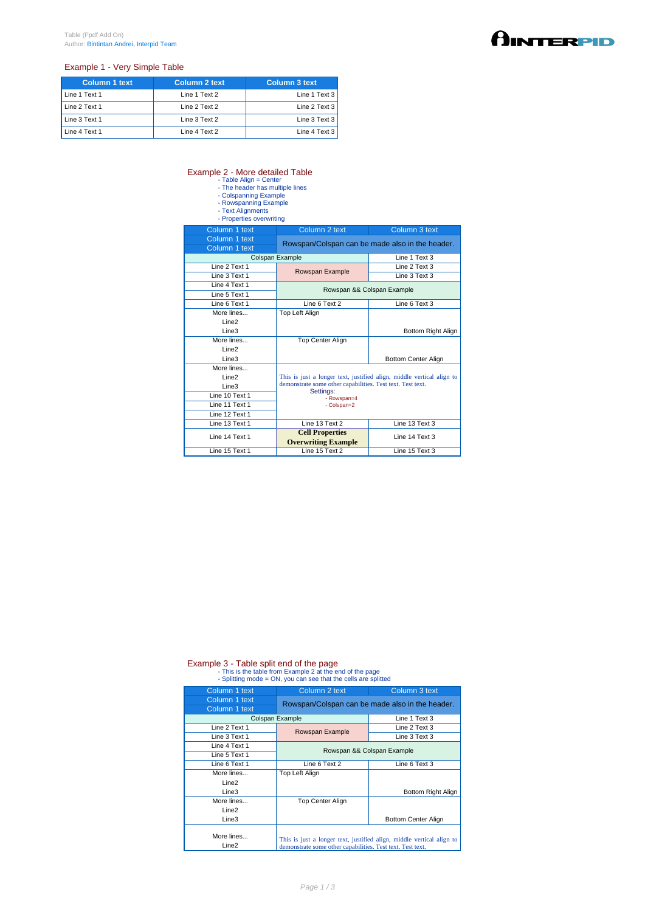## Example 1 - Very Simple Table

| <b>Column 1 text</b> | Column 2 text | Column 3 text |
|----------------------|---------------|---------------|
| Line 1 Text 1        | Line 1 Text 2 | Line 1 Text 3 |
| Line 2 Text 1        | Line 2 Text 2 | Line 2 Text 3 |
| Line 3 Text 1        | Line 3 Text 2 | Line 3 Text 3 |
| Line 4 Text 1        | Line 4 Text 2 | Line 4 Text 3 |

## Example 2 - More detailed Table<br>
- Table Align = Center<br>
- The header has multiple lines<br>
- Colspanning Example<br>
- Rowspanning Example<br>
- Text Alignments<br>
- Properties overwriting

- 
- 
- 
- 

| Column 1 text     | Column 2 text                                                                                                                                    | Column 3 text              |  |
|-------------------|--------------------------------------------------------------------------------------------------------------------------------------------------|----------------------------|--|
| Column 1 text     | Rowspan/Colspan can be made also in the header.                                                                                                  |                            |  |
| Column 1 text     |                                                                                                                                                  |                            |  |
|                   | Colspan Example                                                                                                                                  | Line 1 Text 3              |  |
| Line 2 Text 1     | Rowspan Example                                                                                                                                  | Line 2 Text 3              |  |
| Line 3 Text 1     |                                                                                                                                                  | Line 3 Text 3              |  |
| Line 4 Text 1     | Rowspan && Colspan Example                                                                                                                       |                            |  |
| Line 5 Text 1     |                                                                                                                                                  |                            |  |
| Line 6 Text 1     | Line 6 Text 2                                                                                                                                    | Line 6 Text 3              |  |
| More lines        | Top Left Align                                                                                                                                   |                            |  |
| Line <sub>2</sub> |                                                                                                                                                  |                            |  |
| Line <sub>3</sub> |                                                                                                                                                  | Bottom Right Align         |  |
| More lines        | <b>Top Center Align</b>                                                                                                                          |                            |  |
| Line <sub>2</sub> |                                                                                                                                                  |                            |  |
| Line3             |                                                                                                                                                  | <b>Bottom Center Align</b> |  |
| More lines        |                                                                                                                                                  |                            |  |
| Line <sub>2</sub> | This is just a longer text, justified align, middle vertical align to<br>demonstrate some other capabilities. Test text. Test text.<br>Settings: |                            |  |
| Line <sub>3</sub> |                                                                                                                                                  |                            |  |
| Line 10 Text 1    | - Rowspan=4                                                                                                                                      |                            |  |
| Line 11 Text 1    | - Colspan=2                                                                                                                                      |                            |  |
| Line 12 Text 1    |                                                                                                                                                  |                            |  |
| Line 13 Text 1    | Line 13 Text 2                                                                                                                                   | Line 13 Text 3             |  |
| Line 14 Text 1    | <b>Cell Properties</b>                                                                                                                           | Line 14 Text 3             |  |
|                   | <b>Overwriting Example</b>                                                                                                                       |                            |  |
| Line 15 Text 1    | Line 15 Text 2                                                                                                                                   | Line 15 Text 3             |  |

## Example 3 - Table split end of the page<br>- This is the table from Example 2 at the end of the page<br>- Splitting mode = ON, you can see that the cells are splitted

| Column 1 text                   | Column 2 text                                              | Column 3 text                                                         |
|---------------------------------|------------------------------------------------------------|-----------------------------------------------------------------------|
| Column 1 text<br>Column 1 text  |                                                            | Rowspan/Colspan can be made also in the header.                       |
| Colspan Example                 |                                                            | Line 1 Text 3                                                         |
| Line 2 Text 1                   | Rowspan Example                                            | Line 2 Text 3                                                         |
| Line 3 Text 1                   |                                                            | Line 3 Text 3                                                         |
| Line 4 Text 1                   |                                                            | Rowspan && Colspan Example                                            |
| Line 5 Text 1                   |                                                            |                                                                       |
| Line 6 Text 1                   | Line 6 Text 2                                              | Line 6 Text 3                                                         |
| More lines                      | Top Left Align                                             |                                                                       |
| Line <sub>2</sub>               |                                                            |                                                                       |
| Line <sub>3</sub>               |                                                            | Bottom Right Align                                                    |
| More lines                      | <b>Top Center Align</b>                                    |                                                                       |
| Line <sub>2</sub>               |                                                            |                                                                       |
| Line <sub>3</sub>               |                                                            | Bottom Center Align                                                   |
| More lines<br>Line <sub>2</sub> | demonstrate some other capabilities. Test text. Test text. | This is just a longer text, justified align, middle vertical align to |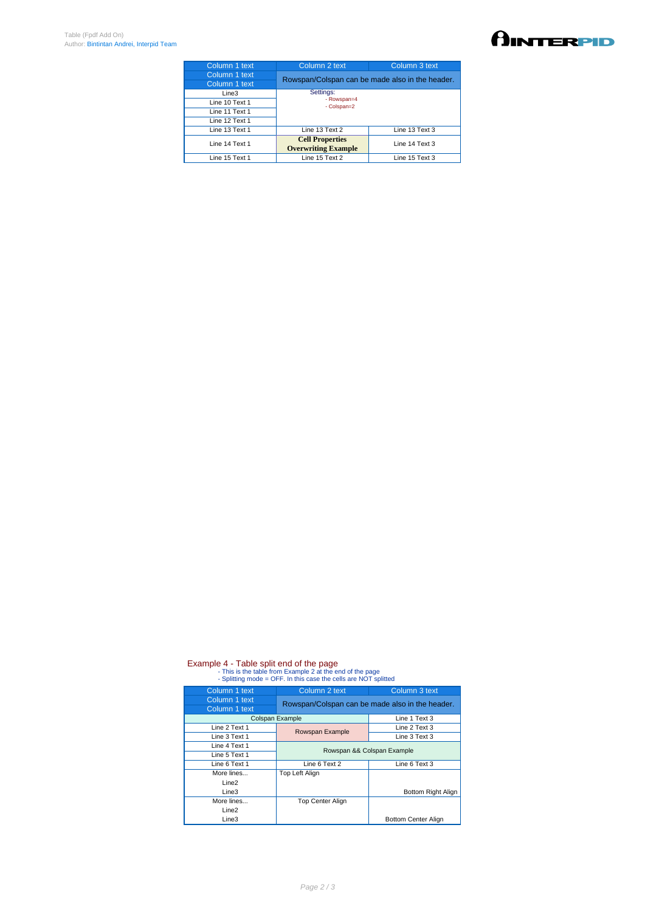| Column 1 text  | Column 2 text                                        | Column 3 text  |
|----------------|------------------------------------------------------|----------------|
| Column 1 text  | Rowspan/Colspan can be made also in the header.      |                |
| Column 1 text  |                                                      |                |
| Line3          | Settings:                                            |                |
| Line 10 Text 1 | - Rowspan=4<br>- Colspan=2                           |                |
| Line 11 Text 1 |                                                      |                |
| Line 12 Text 1 |                                                      |                |
| Line 13 Text 1 | Line 13 Text 2                                       | Line 13 Text 3 |
| Line 14 Text 1 | <b>Cell Properties</b><br><b>Overwriting Example</b> | Line 14 Text 3 |
| Line 15 Text 1 | Line 15 Text 2                                       | Line 15 Text 3 |
|                |                                                      |                |

## Example 4 - Table split end of the page<br>- This is the table from Example 2 at the end of the page<br>- Splitting mode = OFF. In this case the cells are NOT splitted

| Column 1 text     | Column 2 text                                   | Column 3 text              |
|-------------------|-------------------------------------------------|----------------------------|
| Column 1 text     | Rowspan/Colspan can be made also in the header. |                            |
| Column 1 text     |                                                 |                            |
| Colspan Example   |                                                 | Line 1 Text 3              |
| Line 2 Text 1     | Rowspan Example                                 | Line 2 Text 3              |
| Line 3 Text 1     |                                                 | Line 3 Text 3              |
| Line 4 Text 1     | Rowspan && Colspan Example                      |                            |
| Line 5 Text 1     |                                                 |                            |
| Line 6 Text 1     | Line 6 Text 2                                   | Line 6 Text 3              |
| More lines        | Top Left Align                                  |                            |
| Line <sub>2</sub> |                                                 |                            |
| Line <sub>3</sub> |                                                 | Bottom Right Align         |
| More lines        | <b>Top Center Align</b>                         |                            |
| Line <sub>2</sub> |                                                 |                            |
| Line3             |                                                 | <b>Bottom Center Align</b> |